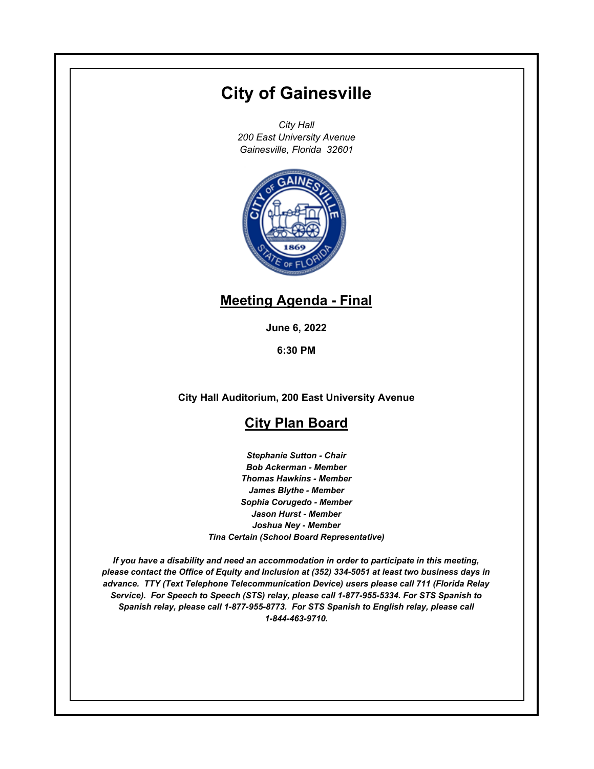# **City of Gainesville**

*City Hall 200 East University Avenue Gainesville, Florida 32601*



## **Meeting Agenda - Final**

**June 6, 2022**

**6:30 PM**

**City Hall Auditorium, 200 East University Avenue**

## **City Plan Board**

*Stephanie Sutton - Chair Bob Ackerman - Member Thomas Hawkins - Member James Blythe - Member Sophia Corugedo - Member Jason Hurst - Member Joshua Ney - Member Tina Certain (School Board Representative)*

*If you have a disability and need an accommodation in order to participate in this meeting, please contact the Office of Equity and Inclusion at (352) 334-5051 at least two business days in advance. TTY (Text Telephone Telecommunication Device) users please call 711 (Florida Relay Service). For Speech to Speech (STS) relay, please call 1-877-955-5334. For STS Spanish to Spanish relay, please call 1-877-955-8773. For STS Spanish to English relay, please call 1-844-463-9710.*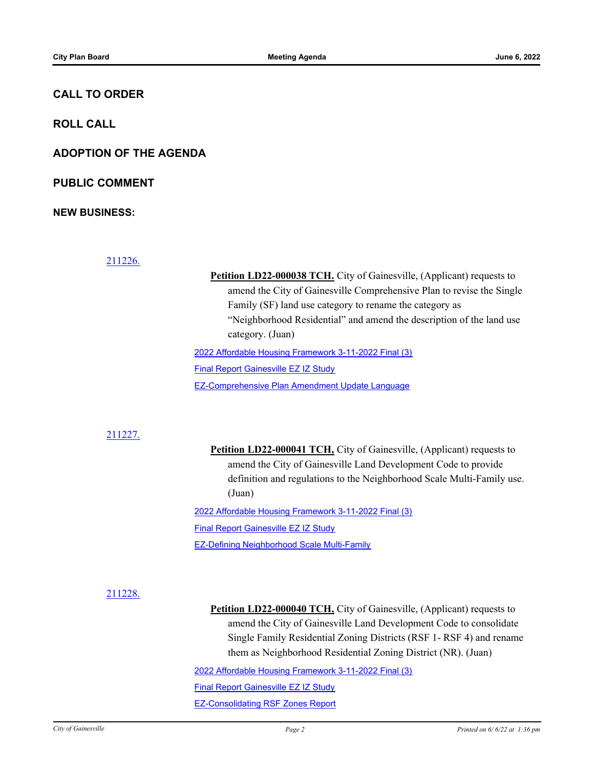#### **CALL TO ORDER**

**ROLL CALL**

**ADOPTION OF THE AGENDA**

**PUBLIC COMMENT**

**NEW BUSINESS:**

[211226.](http://gainesville.legistar.com/gateway.aspx?m=l&id=/matter.aspx?key=34008)

**Petition LD22-000038 TCH.** City of Gainesville, (Applicant) requests to amend the City of Gainesville Comprehensive Plan to revise the Single Family (SF) land use category to rename the category as "Neighborhood Residential" and amend the description of the land use category. (Juan) [2022 Affordable Housing Framework 3-11-2022 Final \(3\)](http://Gainesville.legistar.com/gateway.aspx?M=F&ID=cc92b400-c8fa-4842-b936-c8228878053a.pdf) [Final Report Gainesville EZ IZ Study](http://Gainesville.legistar.com/gateway.aspx?M=F&ID=26d8428d-b22c-4f88-bada-6daab1093979.pdf)

[EZ-Comprehensive Plan Amendment Update Language](http://Gainesville.legistar.com/gateway.aspx?M=F&ID=0a93617e-9488-4581-81ff-34b0f3303f83.pdf)

#### [211227.](http://gainesville.legistar.com/gateway.aspx?m=l&id=/matter.aspx?key=34009)

**Petition LD22-000041 TCH,** City of Gainesville, (Applicant) requests to amend the City of Gainesville Land Development Code to provide definition and regulations to the Neighborhood Scale Multi-Family use. (Juan)

[2022 Affordable Housing Framework 3-11-2022 Final \(3\)](http://Gainesville.legistar.com/gateway.aspx?M=F&ID=36e6559f-c968-41e0-b75f-db6b28039677.pdf) **[Final Report Gainesville EZ IZ Study](http://Gainesville.legistar.com/gateway.aspx?M=F&ID=39092e7f-d0b1-4d77-bf9e-aadd5d422780.pdf)** 

[EZ-Defining Neighborhood Scale Multi-Family](http://Gainesville.legistar.com/gateway.aspx?M=F&ID=e00b8559-75f7-4292-9ede-7be725e8068c.pdf)

#### [211228.](http://gainesville.legistar.com/gateway.aspx?m=l&id=/matter.aspx?key=34010)

**Petition LD22-000040 TCH,** City of Gainesville, (Applicant) requests to amend the City of Gainesville Land Development Code to consolidate Single Family Residential Zoning Districts (RSF 1- RSF 4) and rename them as Neighborhood Residential Zoning District (NR). (Juan)

[2022 Affordable Housing Framework 3-11-2022 Final \(3\)](http://Gainesville.legistar.com/gateway.aspx?M=F&ID=adde1257-f3b3-4b09-8bd1-d1c5b58ee891.pdf)

[Final Report Gainesville EZ IZ Study](http://Gainesville.legistar.com/gateway.aspx?M=F&ID=2b46c9bd-4331-427c-b678-47f8570a21d2.pdf)

[EZ-Consolidating RSF Zones Report](http://Gainesville.legistar.com/gateway.aspx?M=F&ID=d3f04a47-1f94-42a7-845c-5f5874c7cb11.pdf)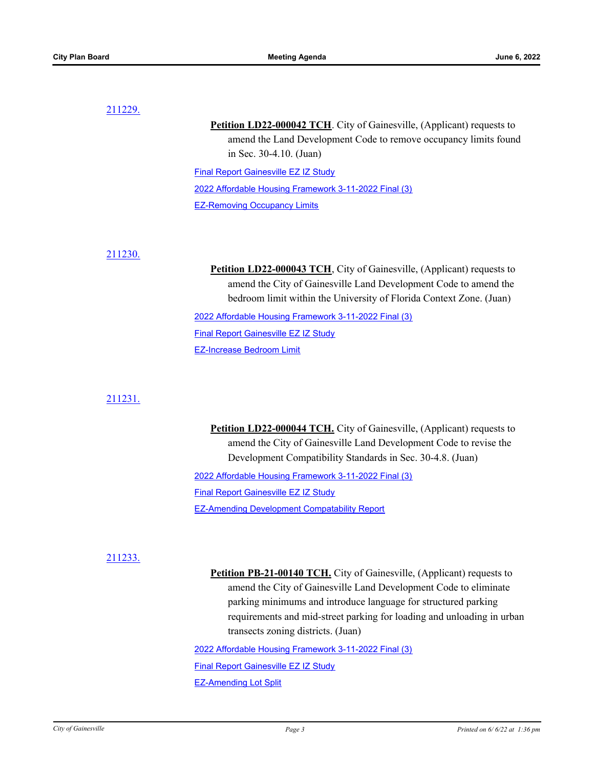#### [211229.](http://gainesville.legistar.com/gateway.aspx?m=l&id=/matter.aspx?key=34011)

**Petition LD22-000042 TCH.** City of Gainesville, (Applicant) requests to amend the Land Development Code to remove occupancy limits found in Sec. 30-4.10. (Juan)

[Final Report Gainesville EZ IZ Study](http://Gainesville.legistar.com/gateway.aspx?M=F&ID=01ddb359-fc71-4c49-9d7b-6f97f6158d65.pdf) [2022 Affordable Housing Framework 3-11-2022 Final \(3\)](http://Gainesville.legistar.com/gateway.aspx?M=F&ID=4ada6acb-2793-4c53-a9da-28f75f290591.pdf) [EZ-Removing Occupancy Limits](http://Gainesville.legistar.com/gateway.aspx?M=F&ID=9ef38b8e-756b-4dba-85cb-193ca9050193.pdf)

#### [211230.](http://gainesville.legistar.com/gateway.aspx?m=l&id=/matter.aspx?key=34012)

Petition LD22-000043 TCH, City of Gainesville, (Applicant) requests to amend the City of Gainesville Land Development Code to amend the bedroom limit within the University of Florida Context Zone. (Juan) [2022 Affordable Housing Framework 3-11-2022 Final \(3\)](http://Gainesville.legistar.com/gateway.aspx?M=F&ID=e76adf72-4236-4340-8965-c9520292ec92.pdf)

**[Final Report Gainesville EZ IZ Study](http://Gainesville.legistar.com/gateway.aspx?M=F&ID=57c11ed0-505e-4431-9932-e3fe44d52241.pdf)** 

[EZ-Increase Bedroom Limit](http://Gainesville.legistar.com/gateway.aspx?M=F&ID=82d28aeb-2d32-4dba-aa28-f7b254d9f9db.pdf)

#### [211231.](http://gainesville.legistar.com/gateway.aspx?m=l&id=/matter.aspx?key=34013)

**Petition LD22-000044 TCH.** City of Gainesville, (Applicant) requests to amend the City of Gainesville Land Development Code to revise the Development Compatibility Standards in Sec. 30-4.8. (Juan)

[2022 Affordable Housing Framework 3-11-2022 Final \(3\)](http://Gainesville.legistar.com/gateway.aspx?M=F&ID=d47cf249-56ee-40d8-9def-5620ae269792.pdf)

[Final Report Gainesville EZ IZ Study](http://Gainesville.legistar.com/gateway.aspx?M=F&ID=ff3cba9f-3123-405b-a90d-25ec216d4523.pdf)

[EZ-Amending Development Compatability Report](http://Gainesville.legistar.com/gateway.aspx?M=F&ID=f08c48b4-6865-43d3-97a5-5c214e332a8f.pdf)

#### [211233.](http://gainesville.legistar.com/gateway.aspx?m=l&id=/matter.aspx?key=34015)

Petition PB-21-00140 TCH. City of Gainesville, (Applicant) requests to amend the City of Gainesville Land Development Code to eliminate parking minimums and introduce language for structured parking requirements and mid-street parking for loading and unloading in urban transects zoning districts. (Juan)

[2022 Affordable Housing Framework 3-11-2022 Final \(3\)](http://Gainesville.legistar.com/gateway.aspx?M=F&ID=72d61d43-3cad-416d-90d8-c99a3dfd27f3.pdf)

[Final Report Gainesville EZ IZ Study](http://Gainesville.legistar.com/gateway.aspx?M=F&ID=50a3cf7f-f99a-4fd4-9fd6-5b2a3d7d1a50.pdf)

[EZ-Amending Lot Split](http://Gainesville.legistar.com/gateway.aspx?M=F&ID=226c8286-b906-40b3-ad72-ef4b6893d234.pdf)